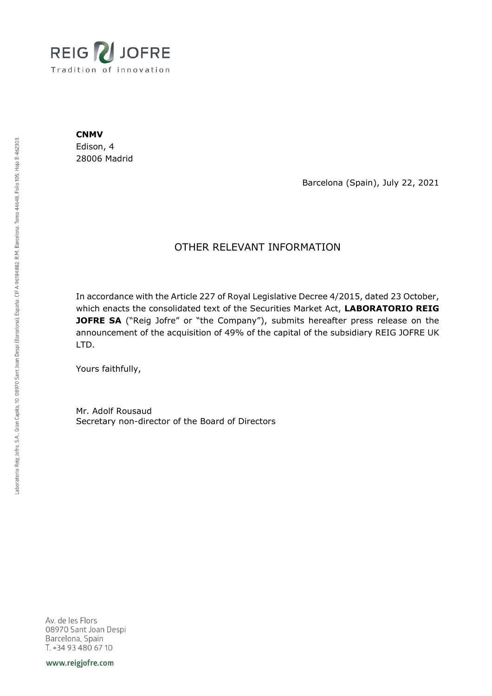

**CNMV**

Edison, 4 28006 Madrid

Barcelona (Spain), July 22, 2021

## OTHER RELEVANT INFORMATION

In accordance with the Article 227 of Royal Legislative Decree 4/2015, dated 23 October, which enacts the consolidated text of the Securities Market Act, **LABORATORIO REIG JOFRE SA** ("Reig Jofre" or "the Company"), submits hereafter press release on the announcement of the acquisition of 49% of the capital of the subsidiary REIG JOFRE UK LTD.

Yours faithfully,

Mr. Adolf Rousaud Secretary non-director of the Board of Directors

Av. de les Flors 08970 Sant Joan Despi Barcelona, Spain T. +34 93 480 67 10

www.reigjofre.com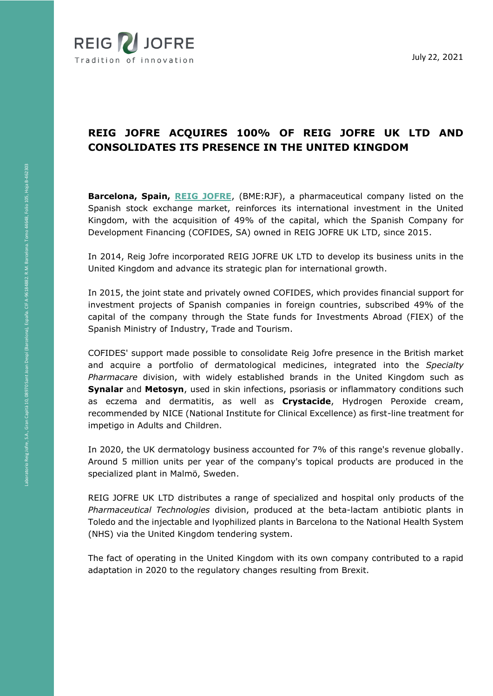

## **REIG JOFRE ACQUIRES 100% OF REIG JOFRE UK LTD AND CONSOLIDATES ITS PRESENCE IN THE UNITED KINGDOM**

**Barcelona, Spain, [REIG JOFRE](https://www.reigjofre.com/)**, (BME:RJF), a pharmaceutical company listed on the Spanish stock exchange market, reinforces its international investment in the United Kingdom, with the acquisition of 49% of the capital, which the Spanish Company for Development Financing (COFIDES, SA) owned in REIG JOFRE UK LTD, since 2015.

In 2014, Reig Jofre incorporated REIG JOFRE UK LTD to develop its business units in the United Kingdom and advance its strategic plan for international growth.

In 2015, the joint state and privately owned COFIDES, which provides financial support for investment projects of Spanish companies in foreign countries, subscribed 49% of the capital of the company through the State funds for Investments Abroad (FIEX) of the Spanish Ministry of Industry, Trade and Tourism.

COFIDES' support made possible to consolidate Reig Jofre presence in the British market and acquire a portfolio of dermatological medicines, integrated into the *Specialty Pharmacare* division, with widely established brands in the United Kingdom such as **Synalar** and **Metosyn**, used in skin infections, psoriasis or inflammatory conditions such as eczema and dermatitis, as well as **Crystacide**, Hydrogen Peroxide cream, recommended by NICE (National Institute for Clinical Excellence) as first-line treatment for impetigo in Adults and Children.

In 2020, the UK dermatology business accounted for 7% of this range's revenue globally. Around 5 million units per year of the company's topical products are produced in the specialized plant in Malmö, Sweden.

REIG JOFRE UK LTD distributes a range of specialized and hospital only products of the *Pharmaceutical Technologies* division, produced at the beta-lactam antibiotic plants in Toledo and the injectable and lyophilized plants in Barcelona to the National Health System (NHS) via the United Kingdom tendering system.

The fact of operating in the United Kingdom with its own company contributed to a rapid adaptation in 2020 to the regulatory changes resulting from Brexit.